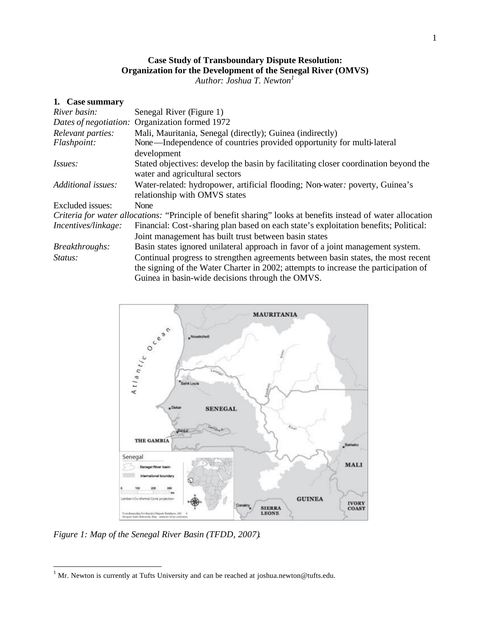## **Case Study of Transboundary Dispute Resolution: Organization for the Development of the Senegal River (OMVS)**

*Author: Joshua T. Newton<sup>1</sup>*

#### **1. Case summary**

| River basin:                                                                                                        | Senegal River (Figure 1)                                                                                              |
|---------------------------------------------------------------------------------------------------------------------|-----------------------------------------------------------------------------------------------------------------------|
|                                                                                                                     | Dates of negotiation: Organization formed 1972                                                                        |
| Relevant parties:                                                                                                   | Mali, Mauritania, Senegal (directly); Guinea (indirectly)                                                             |
| Flashpoint:                                                                                                         | None—Independence of countries provided opportunity for multi-lateral                                                 |
|                                                                                                                     | development                                                                                                           |
| Issues:                                                                                                             | Stated objectives: develop the basin by facilitating closer coordination beyond the<br>water and agricultural sectors |
| Additional issues:                                                                                                  | Water-related: hydropower, artificial flooding; Non-water: poverty, Guinea's<br>relationship with OMVS states         |
| Excluded issues:                                                                                                    | None                                                                                                                  |
| <i>Criteria for water allocations:</i> "Principle of benefit sharing" looks at benefits instead of water allocation |                                                                                                                       |
| Incentives/linkage:                                                                                                 | Financial: Cost-sharing plan based on each state's exploitation benefits; Political:                                  |
|                                                                                                                     | Joint management has built trust between basin states                                                                 |
| Breakthroughs:                                                                                                      | Basin states ignored unilateral approach in favor of a joint management system.                                       |
| Status:                                                                                                             | Continual progress to strengthen agreements between basin states, the most recent                                     |
|                                                                                                                     | the signing of the Water Charter in 2002; attempts to increase the participation of                                   |
|                                                                                                                     | Guinea in basin-wide decisions through the OMVS.                                                                      |



*Figure 1: Map of the Senegal River Basin (TFDD, 2007).*

<sup>1&</sup>lt;br><sup>1</sup> Mr. Newton is currently at Tufts University and can be reached at joshua.newton@tufts.edu.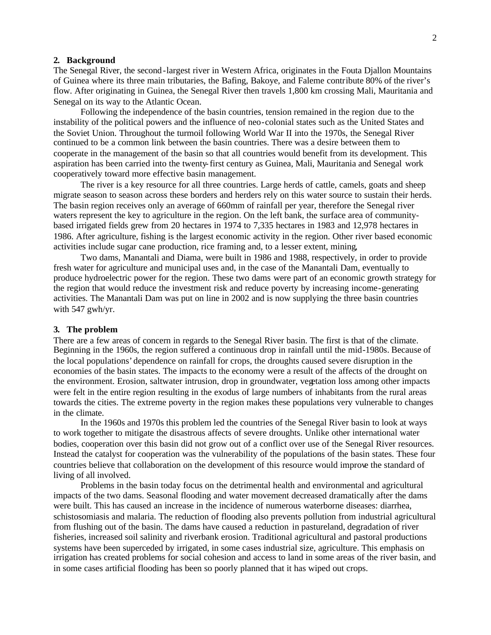#### **2. Background**

The Senegal River, the second-largest river in Western Africa, originates in the Fouta Djallon Mountains of Guinea where its three main tributaries, the Bafing, Bakoye, and Faleme contribute 80% of the river's flow. After originating in Guinea, the Senegal River then travels 1,800 km crossing Mali, Mauritania and Senegal on its way to the Atlantic Ocean.

Following the independence of the basin countries, tension remained in the region due to the instability of the political powers and the influence of neo-colonial states such as the United States and the Soviet Union. Throughout the turmoil following World War II into the 1970s, the Senegal River continued to be a common link between the basin countries. There was a desire between them to cooperate in the management of the basin so that all countries would benefit from its development. This aspiration has been carried into the twenty-first century as Guinea, Mali, Mauritania and Senegal work cooperatively toward more effective basin management.

The river is a key resource for all three countries. Large herds of cattle, camels, goats and sheep migrate season to season across these borders and herders rely on this water source to sustain their herds. The basin region receives only an average of 660mm of rainfall per year, therefore the Senegal river waters represent the key to agriculture in the region. On the left bank, the surface area of communitybased irrigated fields grew from 20 hectares in 1974 to 7,335 hectares in 1983 and 12,978 hectares in 1986. After agriculture, fishing is the largest economic activity in the region. Other river based economic activities include sugar cane production, rice framing and, to a lesser extent, mining,

Two dams, Manantali and Diama, were built in 1986 and 1988, respectively, in order to provide fresh water for agriculture and municipal uses and, in the case of the Manantali Dam, eventually to produce hydroelectric power for the region. These two dams were part of an economic growth strategy for the region that would reduce the investment risk and reduce poverty by increasing income-generating activities. The Manantali Dam was put on line in 2002 and is now supplying the three basin countries with 547 gwh/yr.

#### **3. The problem**

There are a few areas of concern in regards to the Senegal River basin. The first is that of the climate. Beginning in the 1960s, the region suffered a continuous drop in rainfall until the mid-1980s. Because of the local populations' dependence on rainfall for crops, the droughts caused severe disruption in the economies of the basin states. The impacts to the economy were a result of the affects of the drought on the environment. Erosion, saltwater intrusion, drop in groundwater, vegetation loss among other impacts were felt in the entire region resulting in the exodus of large numbers of inhabitants from the rural areas towards the cities. The extreme poverty in the region makes these populations very vulnerable to changes in the climate.

In the 1960s and 1970s this problem led the countries of the Senegal River basin to look at ways to work together to mitigate the disastrous affects of severe droughts. Unlike other international water bodies, cooperation over this basin did not grow out of a conflict over use of the Senegal River resources. Instead the catalyst for cooperation was the vulnerability of the populations of the basin states. These four countries believe that collaboration on the development of this resource would improve the standard of living of all involved.

Problems in the basin today focus on the detrimental health and environmental and agricultural impacts of the two dams. Seasonal flooding and water movement decreased dramatically after the dams were built. This has caused an increase in the incidence of numerous waterborne diseases: diarrhea, schistosomiasis and malaria. The reduction of flooding also prevents pollution from industrial agricultural from flushing out of the basin. The dams have caused a reduction in pastureland, degradation of river fisheries, increased soil salinity and riverbank erosion. Traditional agricultural and pastoral productions systems have been superceded by irrigated, in some cases industrial size, agriculture. This emphasis on irrigation has created problems for social cohesion and access to land in some areas of the river basin, and in some cases artificial flooding has been so poorly planned that it has wiped out crops.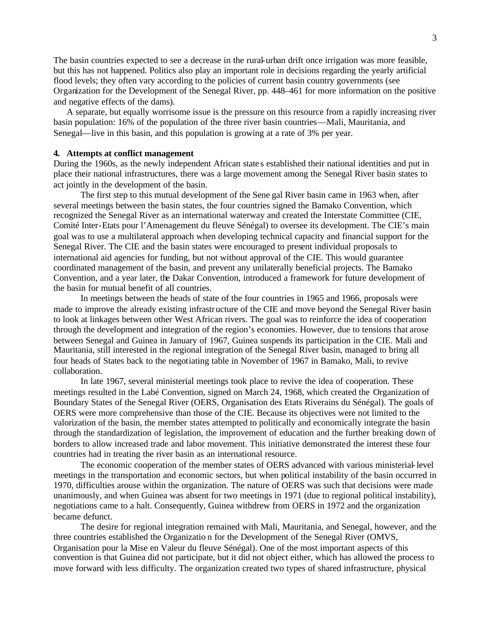The basin countries expected to see a decrease in the rural-urban drift once irrigation was more feasible, but this has not happened. Politics also play an important role in decisions regarding the yearly artificial flood levels; they often vary according to the policies of current basin country governments (see Organization for the Development of the Senegal River, pp. 448–461 for more information on the positive and negative effects of the dams).

A separate, but equally worrisome issue is the pressure on this resource from a rapidly increasing river basin population: 16% of the population of the three river basin countries—Mali, Mauritania, and Senegal—live in this basin, and this population is growing at a rate of 3% per year.

#### **4. Attempts at conflict management**

During the 1960s, as the newly independent African state s established their national identities and put in place their national infrastructures, there was a large movement among the Senegal River basin states to act jointly in the development of the basin.

The first step to this mutual development of the Sene gal River basin came in 1963 when, after several meetings between the basin states, the four countries signed the Bamako Convention, which recognized the Senegal River as an international waterway and created the Interstate Committee (CIE, Comité Inter-Etats pour l'Amenagement du fleuve Sénégal) to oversee its development. The CIE's main goal was to use a multilateral approach when developing technical capacity and financial support for the Senegal River. The CIE and the basin states were encouraged to present individual proposals to international aid agencies for funding, but not without approval of the CIE. This would guarantee coordinated management of the basin, and prevent any unilaterally beneficial projects. The Bamako Convention, and a year later, the Dakar Convention, introduced a framework for future development of the basin for mutual benefit of all countries.

In meetings between the heads of state of the four countries in 1965 and 1966, proposals were made to improve the already existing infrastructure of the CIE and move beyond the Senegal River basin to look at linkages between other West African rivers. The goal was to reinforce the idea of cooperation through the development and integration of the region's economies. However, due to tensions that arose between Senegal and Guinea in January of 1967, Guinea suspends its participation in the CIE. Mali and Mauritania, still interested in the regional integration of the Senegal River basin, managed to bring all four heads of States back to the negotiating table in November of 1967 in Bamako, Mali, to revive collaboration.

In late 1967, several ministerial meetings took place to revive the idea of cooperation. These meetings resulted in the Labé Convention, signed on March 24, 1968, which created the Organization of Boundary States of the Senegal River (OERS, Organisation des Etats Riverains du Sénégal). The goals of OERS were more comprehensive than those of the CIE. Because its objectives were not limited to the valorization of the basin, the member states attempted to politically and economically integrate the basin through the standardization of legislation, the improvement of education and the further breaking down of borders to allow increased trade and labor movement. This initiative demonstrated the interest these four countries had in treating the river basin as an international resource.

The economic cooperation of the member states of OERS advanced with various ministerial-level meetings in the transportation and economic sectors, but when political instability of the basin occurred in 1970, difficulties arouse within the organization. The nature of OERS was such that decisions were made unanimously, and when Guinea was absent for two meetings in 1971 (due to regional political instability), negotiations came to a halt. Consequently, Guinea withdrew from OERS in 1972 and the organization became defunct.

The desire for regional integration remained with Mali, Mauritania, and Senegal, however, and the three countries established the Organizatio n for the Development of the Senegal River (OMVS, Organisation pour la Mise en Valeur du fleuve Sénégal). One of the most important aspects of this convention is that Guinea did not participate, but it did not object either, which has allowed the process to move forward with less difficulty. The organization created two types of shared infrastructure, physical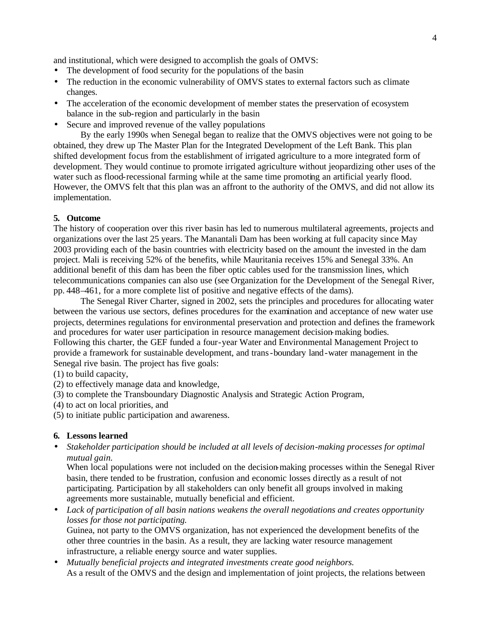and institutional, which were designed to accomplish the goals of OMVS:

- The development of food security for the populations of the basin
- The reduction in the economic vulnerability of OMVS states to external factors such as climate changes.
- The acceleration of the economic development of member states the preservation of ecosystem balance in the sub-region and particularly in the basin
- Secure and improved revenue of the valley populations

By the early 1990s when Senegal began to realize that the OMVS objectives were not going to be obtained, they drew up The Master Plan for the Integrated Development of the Left Bank. This plan shifted development focus from the establishment of irrigated agriculture to a more integrated form of development. They would continue to promote irrigated agriculture without jeopardizing other uses of the water such as flood-recessional farming while at the same time promoting an artificial yearly flood. However, the OMVS felt that this plan was an affront to the authority of the OMVS, and did not allow its implementation.

### **5. Outcome**

The history of cooperation over this river basin has led to numerous multilateral agreements, projects and organizations over the last 25 years. The Manantali Dam has been working at full capacity since May 2003 providing each of the basin countries with electricity based on the amount the invested in the dam project. Mali is receiving 52% of the benefits, while Mauritania receives 15% and Senegal 33%. An additional benefit of this dam has been the fiber optic cables used for the transmission lines, which telecommunications companies can also use (see Organization for the Development of the Senegal River, pp. 448–461, for a more complete list of positive and negative effects of the dams).

The Senegal River Charter, signed in 2002, sets the principles and procedures for allocating water between the various use sectors, defines procedures for the examination and acceptance of new water use projects, determines regulations for environmental preservation and protection and defines the framework and procedures for water user participation in resource management decision-making bodies. Following this charter, the GEF funded a four-year Water and Environmental Management Project to provide a framework for sustainable development, and trans-boundary land-water management in the Senegal rive basin. The project has five goals:

- (1) to build capacity,
- (2) to effectively manage data and knowledge,
- (3) to complete the Transboundary Diagnostic Analysis and Strategic Action Program,
- (4) to act on local priorities, and
- (5) to initiate public participation and awareness.

## **6. Lessons learned**

• *Stakeholder participation should be included at all levels of decision-making processes for optimal mutual gain.*

When local populations were not included on the decision-making processes within the Senegal River basin, there tended to be frustration, confusion and economic losses directly as a result of not participating. Participation by all stakeholders can only benefit all groups involved in making agreements more sustainable, mutually beneficial and efficient.

- *Lack of participation of all basin nations weakens the overall negotiations and creates opportunity losses for those not participating.* Guinea, not party to the OMVS organization, has not experienced the development benefits of the other three countries in the basin. As a result, they are lacking water resource management infrastructure, a reliable energy source and water supplies.
- *Mutually beneficial projects and integrated investments create good neighbors.* As a result of the OMVS and the design and implementation of joint projects, the relations between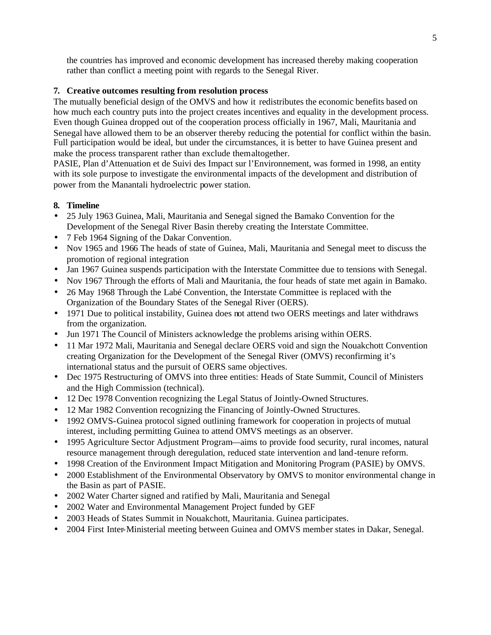the countries has improved and economic development has increased thereby making cooperation rather than conflict a meeting point with regards to the Senegal River.

## **7. Creative outcomes resulting from resolution process**

The mutually beneficial design of the OMVS and how it redistributes the economic benefits based on how much each country puts into the project creates incentives and equality in the development process. Even though Guinea dropped out of the cooperation process officially in 1967, Mali, Mauritania and Senegal have allowed them to be an observer thereby reducing the potential for conflict within the basin. Full participation would be ideal, but under the circumstances, it is better to have Guinea present and make the process transparent rather than exclude them altogether.

PASIE, Plan d'Attenuation et de Suivi des Impact sur l'Environnement, was formed in 1998, an entity with its sole purpose to investigate the environmental impacts of the development and distribution of power from the Manantali hydroelectric power station.

### **8. Timeline**

- 25 July 1963 Guinea, Mali, Mauritania and Senegal signed the Bamako Convention for the Development of the Senegal River Basin thereby creating the Interstate Committee.
- 7 Feb 1964 Signing of the Dakar Convention.
- Nov 1965 and 1966 The heads of state of Guinea, Mali, Mauritania and Senegal meet to discuss the promotion of regional integration
- Jan 1967 Guinea suspends participation with the Interstate Committee due to tensions with Senegal.
- Nov 1967 Through the efforts of Mali and Mauritania, the four heads of state met again in Bamako.
- 26 May 1968 Through the Labé Convention, the Interstate Committee is replaced with the Organization of the Boundary States of the Senegal River (OERS).
- 1971 Due to political instability, Guinea does not attend two OERS meetings and later withdraws from the organization.
- Jun 1971 The Council of Ministers acknowledge the problems arising within OERS.
- 11 Mar 1972 Mali, Mauritania and Senegal declare OERS void and sign the Nouakchott Convention creating Organization for the Development of the Senegal River (OMVS) reconfirming it's international status and the pursuit of OERS same objectives.
- Dec 1975 Restructuring of OMVS into three entities: Heads of State Summit, Council of Ministers and the High Commission (technical).
- 12 Dec 1978 Convention recognizing the Legal Status of Jointly-Owned Structures.
- 12 Mar 1982 Convention recognizing the Financing of Jointly-Owned Structures.
- 1992 OMVS-Guinea protocol signed outlining framework for cooperation in projects of mutual interest, including permitting Guinea to attend OMVS meetings as an observer.
- 1995 Agriculture Sector Adjustment Program—aims to provide food security, rural incomes, natural resource management through deregulation, reduced state intervention and land-tenure reform.
- 1998 Creation of the Environment Impact Mitigation and Monitoring Program (PASIE) by OMVS.
- 2000 Establishment of the Environmental Observatory by OMVS to monitor environmental change in the Basin as part of PASIE.
- 2002 Water Charter signed and ratified by Mali, Mauritania and Senegal
- 2002 Water and Environmental Management Project funded by GEF
- 2003 Heads of States Summit in Nouakchott, Mauritania. Guinea participates.
- 2004 First Inter-Ministerial meeting between Guinea and OMVS member states in Dakar, Senegal.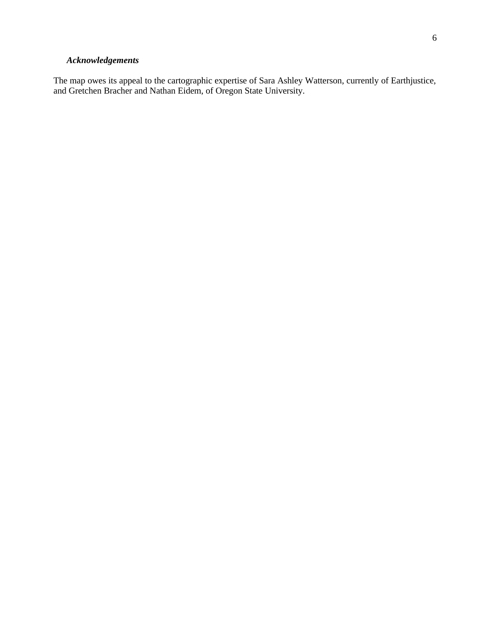# *Acknowledgements*

The map owes its appeal to the cartographic expertise of Sara Ashley Watterson, currently of Earthjustice, and Gretchen Bracher and Nathan Eidem, of Oregon State University.